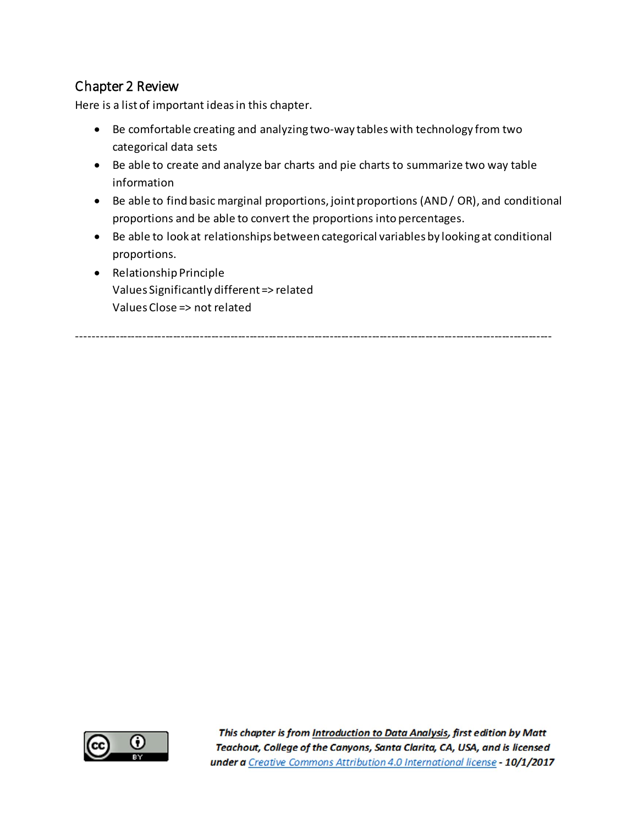## Chapter 2 Review

Here is a list of important ideas in this chapter.

- Be comfortable creating and analyzing two-way tables with technology from two categorical data sets
- Be able to create and analyze bar charts and pie charts to summarize two way table information
- Be able to find basic marginal proportions, joint proportions (AND / OR), and conditional proportions and be able to convert the proportions into percentages.
- Be able to look at relationships between categorical variables by looking at conditional proportions.
- Relationship Principle Values Significantly different => related Values Close => not related

----------------------------------------------------------------------------------------------------------------------------

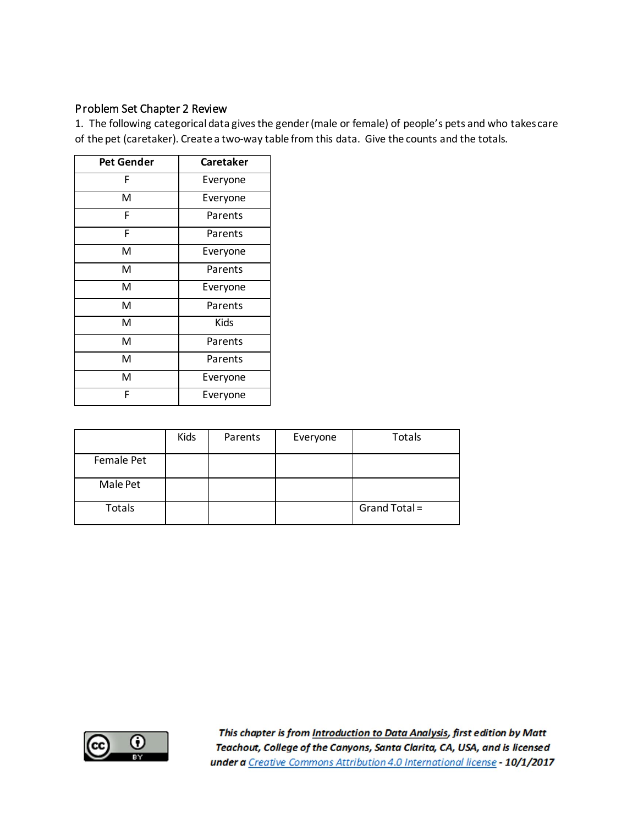## Problem Set Chapter 2 Review

1. The following categorical data gives the gender (male or female) of people's pets and who takes care of the pet (caretaker). Create a two-way table from this data. Give the counts and the totals.

| <b>Pet Gender</b> | Caretaker |  |
|-------------------|-----------|--|
| F                 | Everyone  |  |
| Μ                 | Everyone  |  |
| F                 | Parents   |  |
| F                 | Parents   |  |
| Μ                 | Everyone  |  |
| M                 | Parents   |  |
| M                 | Everyone  |  |
| M                 | Parents   |  |
| M                 | Kids      |  |
| M                 | Parents   |  |
| M                 | Parents   |  |
| M                 | Everyone  |  |
| F                 | Everyone  |  |

|            | Kids | Parents | Everyone | Totals        |
|------------|------|---------|----------|---------------|
| Female Pet |      |         |          |               |
| Male Pet   |      |         |          |               |
| Totals     |      |         |          | Grand Total = |

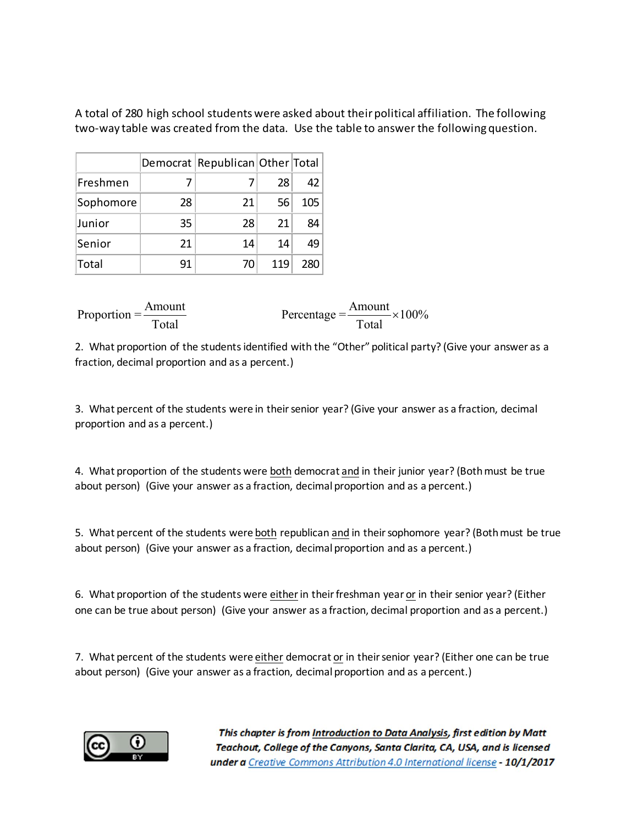A total of 280 high school students were asked about their political affiliation. The following two-way table was created from the data. Use the table to answer the following question.

|           |    | Democrat Republican Other Total |     |     |
|-----------|----|---------------------------------|-----|-----|
| Freshmen  |    |                                 | 28  | 42  |
| Sophomore | 28 | 21                              | 56  | 105 |
| Junior    | 35 | 28                              | 21  | 84  |
| Senior    | 21 | 14                              | 14  | 49  |
| Total     | 91 | 70                              | 119 | 280 |

| Amount<br>Proportion $=\frac{7 \text{ m} \cdot \text{m}}{2 \cdot \text{m}}$ | Amount                                                                    |  |
|-----------------------------------------------------------------------------|---------------------------------------------------------------------------|--|
| Total                                                                       | Percentage $=\frac{2 \text{lnl} \times 100\%}{\text{Total}} \times 100\%$ |  |

2. What proportion of the students identified with the "Other" political party? (Give your answer as a fraction, decimal proportion and as a percent.)

3. What percent of the students were in their senior year? (Give your answer as a fraction, decimal proportion and as a percent.)

4. What proportion of the students were both democrat and in their junior year? (Both must be true about person) (Give your answer as a fraction, decimal proportion and as a percent.)

5. What percent of the students were both republican and in their sophomore year? (Both must be true about person) (Give your answer as a fraction, decimal proportion and as a percent.)

6. What proportion of the students were eitherin their freshman year or in their senior year? (Either one can be true about person) (Give your answer as a fraction, decimal proportion and as a percent.)

7. What percent of the students were either democrat or in their senior year? (Either one can be true about person) (Give your answer as a fraction, decimal proportion and as a percent.)